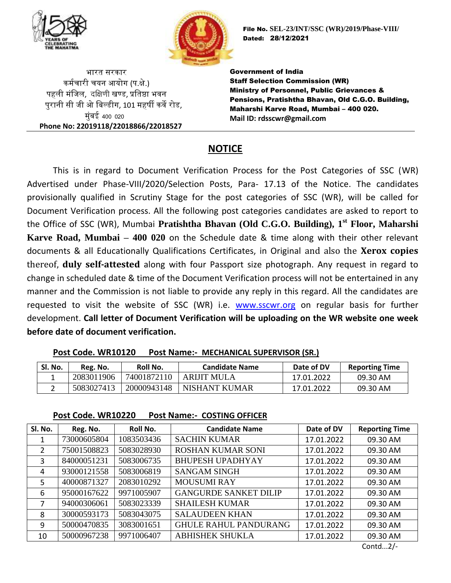



भारत सरकार कर्मचारी चयन आयोग (प.क्षे.) पहली मंजिल, दक्षिणी खण्ड, प्रतिष्ठा भवन पुरानी सी िी ओ जिल्डीग, 101 र्हर्षी कवे रोड, मंबई 400 020 **Phone No: 22019118/22018866/22018527** File No. **SEL-23/INT/SSC (WR)/2019/Phase-VIII/** Dated: 28/12/2021

Government of India Staff Selection Commission (WR) Ministry of Personnel, Public Grievances & Pensions, Pratishtha Bhavan, Old C.G.O. Building, Maharshi Karve Road, Mumbai – 400 020. **Mail ID: rdsscwr@gmail.com**

# **NOTICE**

This is in regard to Document Verification Process for the Post Categories of SSC (WR) Advertised under Phase-VIII/2020/Selection Posts, Para- 17.13 of the Notice. The candidates provisionally qualified in Scrutiny Stage for the post categories of SSC (WR), will be called for Document Verification process. All the following post categories candidates are asked to report to the Office of SSC (WR), Mumbai **Pratishtha Bhavan (Old C.G.O. Building), 1st Floor, Maharshi Karve Road, Mumbai – 400 020** on the Schedule date & time along with their other relevant documents & all Educationally Qualifications Certificates, in Original and also the **Xerox copies** thereof, **duly self-attested** along with four Passport size photograph. Any request in regard to change in scheduled date & time of the Document Verification process will not be entertained in any manner and the Commission is not liable to provide any reply in this regard. All the candidates are requested to visit the website of SSC (WR) i.e. [www.sscwr.org](http://www.sscwr.org/) on regular basis for further development. **Call letter of Document Verification will be uploading on the WR website one week before date of document verification.**

| Sl. No. | Reg. No.   | Roll No.    | <b>Candidate Name</b> | Date of DV | <b>Reporting Time</b> |
|---------|------------|-------------|-----------------------|------------|-----------------------|
|         | 2083011906 | 74001872110 | ARLIIT MULA           | 17.01.2022 | 09.30 AM              |
|         | 5083027413 | 20000943148 | NISHANT KUMAR         | 17.01.2022 | 09.30 AM              |

### **Post Code. WR10120 Post Name:- MECHANICAL SUPERVISOR (SR.)**

### **Post Code. WR10220 Post Name:- COSTING OFFICER**

| Sl. No. | Reg. No.    | Roll No.   | <b>Candidate Name</b>        | Date of DV | <b>Reporting Time</b> |
|---------|-------------|------------|------------------------------|------------|-----------------------|
|         | 73000605804 | 1083503436 | <b>SACHIN KUMAR</b>          | 17.01.2022 | 09.30 AM              |
| 2       | 75001508823 | 5083028930 | <b>ROSHAN KUMAR SONI</b>     | 17.01.2022 | 09.30 AM              |
| 3       | 84000051231 | 5083006735 | <b>BHUPESH UPADHYAY</b>      | 17.01.2022 | 09.30 AM              |
| 4       | 93000121558 | 5083006819 | <b>SANGAM SINGH</b>          | 17.01.2022 | 09.30 AM              |
| 5       | 40000871327 | 2083010292 | <b>MOUSUMI RAY</b>           | 17.01.2022 | 09.30 AM              |
| 6       | 95000167622 | 9971005907 | <b>GANGURDE SANKET DILIP</b> | 17.01.2022 | 09.30 AM              |
| 7       | 94000306061 | 5083023339 | <b>SHAILESH KUMAR</b>        | 17.01.2022 | 09.30 AM              |
| 8       | 30000593173 | 5083043075 | <b>SALAUDEEN KHAN</b>        | 17.01.2022 | 09.30 AM              |
| 9       | 50000470835 | 3083001651 | <b>GHULE RAHUL PANDURANG</b> | 17.01.2022 | 09.30 AM              |
| 10      | 50000967238 | 9971006407 | <b>ABHISHEK SHUKLA</b>       | 17.01.2022 | 09.30 AM              |

Contd...2/-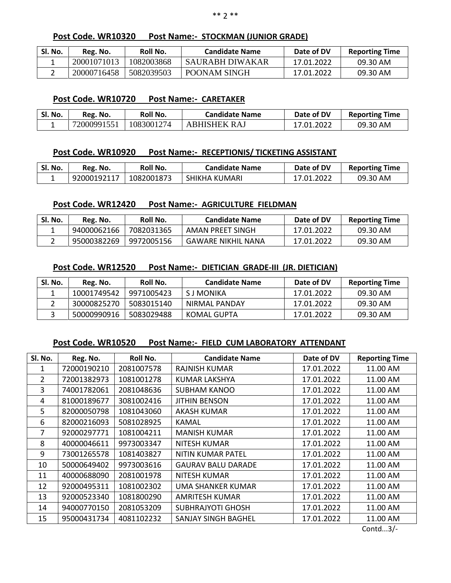### **Post Code. WR10320 Post Name:- STOCKMAN (JUNIOR GRADE)**

| SI. No. | Reg. No.    | Roll No.   | <b>Candidate Name</b> | Date of DV | <b>Reporting Time</b> |
|---------|-------------|------------|-----------------------|------------|-----------------------|
|         | 20001071013 | 1082003868 | SAURABH DIWAKAR       | 17.01.2022 | 09.30 AM              |
|         | 20000716458 | 5082039503 | POONAM SINGH          | 17.01.2022 | 09.30 AM              |

### **Post Code. WR10720 Post Name:- CARETAKER**

| Sl. No. | Reg. No.    | Roll No.   | <b>Candidate Name</b> | Date of DV | <b>Reporting Time</b> |
|---------|-------------|------------|-----------------------|------------|-----------------------|
|         | 72000991551 | 1083001274 | ABHISHEK RAJ          | 17.01.2022 | 09.30 AM              |

### **Post Code. WR10920 Post Name:- RECEPTIONIS/ TICKETING ASSISTANT**

| Sl. No. | Reg. No.        | Roll No.   | <b>Candidate Name</b> | Date of DV | <b>Reporting Time</b> |
|---------|-----------------|------------|-----------------------|------------|-----------------------|
|         | د   92000192117 | 1082001873 | SHIKHA KUMARI         | 17.01.2022 | 09.30 AM              |

### **Post Code. WR12420 Post Name:- AGRICULTURE FIELDMAN**

| SI. No. | Reg. No.    | Roll No.   | <b>Candidate Name</b> | Date of DV | <b>Reporting Time</b> |
|---------|-------------|------------|-----------------------|------------|-----------------------|
|         | 94000062166 | 7082031365 | AMAN PREET SINGH      | 17.01.2022 | 09.30 AM              |
|         | 95000382269 | 9972005156 | GAWARE NIKHIL NANA    | 17.01.2022 | 09.30 AM              |

### **Post Code. WR12520 Post Name:- DIETICIAN GRADE-III (JR. DIETICIAN)**

| SI. No. | Reg. No.    | Roll No.   | Candidate Name | Date of DV | <b>Reporting Time</b> |
|---------|-------------|------------|----------------|------------|-----------------------|
|         | 10001749542 | 9971005423 | S J MONIKA     | 17.01.2022 | 09.30 AM              |
|         | 30000825270 | 5083015140 | NIRMAL PANDAY  | 17.01.2022 | 09.30 AM              |
|         | 50000990916 | 5083029488 | KOMAL GUPTA    | 17.01.2022 | 09.30 AM              |

### **Post Code. WR10520 Post Name:- FIELD CUM LABORATORY ATTENDANT**

| Sl. No. | Reg. No.    | Roll No.   | <b>Candidate Name</b>     | Date of DV | <b>Reporting Time</b> |
|---------|-------------|------------|---------------------------|------------|-----------------------|
| 1       | 72000190210 | 2081007578 | <b>RAJNISH KUMAR</b>      | 17.01.2022 | 11.00 AM              |
| 2       | 72001382973 | 1081001278 | KUMAR LAKSHYA             | 17.01.2022 | 11.00 AM              |
| 3       | 74001782061 | 2081048636 | <b>SUBHAM KANOO</b>       | 17.01.2022 | 11.00 AM              |
| 4       | 81000189677 | 3081002416 | <b>JITHIN BENSON</b>      | 17.01.2022 | 11.00 AM              |
| 5       | 82000050798 | 1081043060 | AKASH KUMAR               | 17.01.2022 | 11.00 AM              |
| 6       | 82000216093 | 5081028925 | KAMAL                     | 17.01.2022 | 11.00 AM              |
| 7       | 92000297771 | 1081004211 | <b>MANISH KUMAR</b>       | 17.01.2022 | 11.00 AM              |
| 8       | 40000046611 | 9973003347 | NITESH KUMAR              | 17.01.2022 | 11.00 AM              |
| 9       | 73001265578 | 1081403827 | NITIN KUMAR PATEL         | 17.01.2022 | 11.00 AM              |
| 10      | 50000649402 | 9973003616 | <b>GAURAV BALU DARADE</b> | 17.01.2022 | 11.00 AM              |
| 11      | 40000688090 | 2081001978 | NITESH KUMAR              | 17.01.2022 | 11.00 AM              |
| 12      | 92000495311 | 1081002302 | <b>UMA SHANKER KUMAR</b>  | 17.01.2022 | 11.00 AM              |
| 13      | 92000523340 | 1081800290 | AMRITESH KUMAR            | 17.01.2022 | 11.00 AM              |
| 14      | 94000770150 | 2081053209 | <b>SUBHRAJYOTI GHOSH</b>  | 17.01.2022 | 11.00 AM              |
| 15      | 95000431734 | 4081102232 | SANJAY SINGH BAGHEL       | 17.01.2022 | 11.00 AM              |
|         |             |            |                           |            | $C = 1$               |

Contd...3/-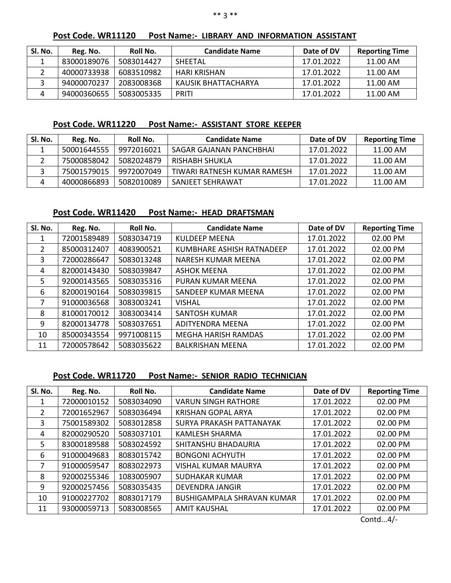| Post Code. WR11120 |  | <b>Post Name:- LIBRARY AND INFORMATION ASSISTANT</b> |  |
|--------------------|--|------------------------------------------------------|--|
|                    |  |                                                      |  |

| SI. No. | Reg. No.    | Roll No.   | <b>Candidate Name</b> | Date of DV | <b>Reporting Time</b> |
|---------|-------------|------------|-----------------------|------------|-----------------------|
|         | 83000189076 | 5083014427 | <b>SHEETAL</b>        | 17.01.2022 | 11.00 AM              |
|         | 40000733938 | 6083510982 | HARI KRISHAN          | 17.01.2022 | 11.00 AM              |
|         | 94000070237 | 2083008368 | KAUSIK BHATTACHARYA   | 17.01.2022 | 11.00 AM              |
|         | 94000360655 | 5083005335 | <b>PRITI</b>          | 17.01.2022 | 11.00 AM              |

**Post Code. WR11220 Post Name:- ASSISTANT STORE KEEPER**

| SI. No. | Reg. No.    | Roll No.   | <b>Candidate Name</b>       | Date of DV | <b>Reporting Time</b> |
|---------|-------------|------------|-----------------------------|------------|-----------------------|
|         | 50001644555 | 9972016021 | SAGAR GAJANAN PANCHBHAI     | 17.01.2022 | 11.00 AM              |
|         | 75000858042 | 5082024879 | RISHABH SHUKLA              | 17.01.2022 | 11.00 AM              |
|         | 75001579015 | 9972007049 | TIWARI RATNESH KUMAR RAMESH | 17.01.2022 | 11.00 AM              |
|         | 40000866893 | 5082010089 | SANJEET SEHRAWAT            | 17.01.2022 | 11.00 AM              |

# **Post Code. WR11420 Post Name:- HEAD DRAFTSMAN**

| Sl. No.      | Reg. No.    | Roll No.   | <b>Candidate Name</b>      | Date of DV | <b>Reporting Time</b> |
|--------------|-------------|------------|----------------------------|------------|-----------------------|
|              | 72001589489 | 5083034719 | <b>KULDEEP MEENA</b>       | 17.01.2022 | 02.00 PM              |
| $\mathbf{2}$ | 85000312407 | 4083900521 | KUMBHARE ASHISH RATNADEEP  | 17.01.2022 | 02.00 PM              |
| 3            | 72000286647 | 5083013248 | NARESH KUMAR MEENA         | 17.01.2022 | 02.00 PM              |
| 4            | 82000143430 | 5083039847 | <b>ASHOK MEENA</b>         | 17.01.2022 | 02.00 PM              |
| 5.           | 92000143565 | 5083035316 | PURAN KUMAR MEENA          | 17.01.2022 | 02.00 PM              |
| 6            | 82000190164 | 5083039815 | SANDEEP KUMAR MEENA        | 17.01.2022 | 02.00 PM              |
| 7            | 91000036568 | 3083003241 | <b>VISHAL</b>              | 17.01.2022 | 02.00 PM              |
| 8            | 81000170012 | 3083003414 | <b>SANTOSH KUMAR</b>       | 17.01.2022 | 02.00 PM              |
| 9            | 82000134778 | 5083037651 | <b>ADITYENDRA MEENA</b>    | 17.01.2022 | 02.00 PM              |
| 10           | 85000343554 | 9971008115 | <b>MEGHA HARISH RAMDAS</b> | 17.01.2022 | 02.00 PM              |
| 11           | 72000578642 | 5083035622 | <b>BALKRISHAN MEENA</b>    | 17.01.2022 | 02.00 PM              |

# **Post Code. WR11720 Post Name:- SENIOR RADIO TECHNICIAN**

| SI. No.        | Reg. No.    | Roll No.   | <b>Candidate Name</b>             | Date of DV | <b>Reporting Time</b> |
|----------------|-------------|------------|-----------------------------------|------------|-----------------------|
|                | 72000010152 | 5083034090 | <b>VARUN SINGH RATHORE</b>        | 17.01.2022 | 02.00 PM              |
| $\overline{2}$ | 72001652967 | 5083036494 | <b>KRISHAN GOPAL ARYA</b>         | 17.01.2022 | 02.00 PM              |
| 3              | 75001589302 | 5083012858 | SURYA PRAKASH PATTANAYAK          | 17.01.2022 | 02.00 PM              |
| 4              | 82000290520 | 5083037101 | <b>KAMLESH SHARMA</b>             | 17.01.2022 | 02.00 PM              |
| 5.             | 83000189588 | 5083024592 | SHITANSHU BHADAURIA               | 17.01.2022 | 02.00 PM              |
| 6              | 91000049683 | 8083015742 | <b>BONGONI ACHYUTH</b>            | 17.01.2022 | 02.00 PM              |
|                | 91000059547 | 8083022973 | <b>VISHAL KUMAR MAURYA</b>        | 17.01.2022 | 02.00 PM              |
| 8              | 92000255346 | 1083005907 | <b>SUDHAKAR KUMAR</b>             | 17.01.2022 | 02.00 PM              |
| 9              | 92000257456 | 5083035435 | DEVENDRA JANGIR                   | 17.01.2022 | 02.00 PM              |
| 10             | 91000227702 | 8083017179 | <b>BUSHIGAMPALA SHRAVAN KUMAR</b> | 17.01.2022 | 02.00 PM              |
| 11             | 93000059713 | 5083008565 | <b>AMIT KAUSHAL</b>               | 17.01.2022 | 02.00 PM              |

Contd...4/-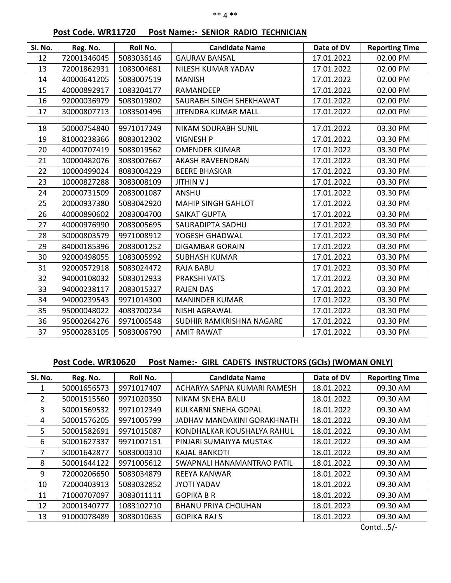#### \*\* 4 \*\*

# **Post Code. WR11720 Post Name:- SENIOR RADIO TECHNICIAN**

| Sl. No. | Reg. No.    | Roll No.   | <b>Candidate Name</b>      | Date of DV | <b>Reporting Time</b> |
|---------|-------------|------------|----------------------------|------------|-----------------------|
| 12      | 72001346045 | 5083036146 | <b>GAURAV BANSAL</b>       | 17.01.2022 | 02.00 PM              |
| 13      | 72001862931 | 1083004681 | NILESH KUMAR YADAV         | 17.01.2022 | 02.00 PM              |
| 14      | 40000641205 | 5083007519 | <b>MANISH</b>              | 17.01.2022 | 02.00 PM              |
| 15      | 40000892917 | 1083204177 | RAMANDEEP                  | 17.01.2022 | 02.00 PM              |
| 16      | 92000036979 | 5083019802 | SAURABH SINGH SHEKHAWAT    | 17.01.2022 | 02.00 PM              |
| 17      | 30000807713 | 1083501496 | <b>JITENDRA KUMAR MALL</b> | 17.01.2022 | 02.00 PM              |
|         |             |            |                            |            |                       |
| 18      | 50000754840 | 9971017249 | <b>NIKAM SOURABH SUNIL</b> | 17.01.2022 | 03.30 PM              |
| 19      | 81000238366 | 8083012302 | <b>VIGNESH P</b>           | 17.01.2022 | 03.30 PM              |
| 20      | 40000707419 | 5083019562 | <b>OMENDER KUMAR</b>       | 17.01.2022 | 03.30 PM              |
| 21      | 10000482076 | 3083007667 | <b>AKASH RAVEENDRAN</b>    | 17.01.2022 | 03.30 PM              |
| 22      | 10000499024 | 8083004229 | <b>BEERE BHASKAR</b>       | 17.01.2022 | 03.30 PM              |
| 23      | 10000827288 | 3083008109 | <b>JITHIN V J</b>          | 17.01.2022 | 03.30 PM              |
| 24      | 20000731509 | 2083001087 | <b>ANSHU</b>               | 17.01.2022 | 03.30 PM              |
| 25      | 20000937380 | 5083042920 | <b>MAHIP SINGH GAHLOT</b>  | 17.01.2022 | 03.30 PM              |
| 26      | 40000890602 | 2083004700 | <b>SAIKAT GUPTA</b>        | 17.01.2022 | 03.30 PM              |
| 27      | 40000976990 | 2083005695 | SAURADIPTA SADHU           | 17.01.2022 | 03.30 PM              |
| 28      | 50000803579 | 9971008912 | YOGESH GHADWAL             | 17.01.2022 | 03.30 PM              |
| 29      | 84000185396 | 2083001252 | <b>DIGAMBAR GORAIN</b>     | 17.01.2022 | 03.30 PM              |
| 30      | 92000498055 | 1083005992 | <b>SUBHASH KUMAR</b>       | 17.01.2022 | 03.30 PM              |
| 31      | 92000572918 | 5083024472 | <b>RAJA BABU</b>           | 17.01.2022 | 03.30 PM              |
| 32      | 94000108032 | 5083012933 | PRAKSHI VATS               | 17.01.2022 | 03.30 PM              |
| 33      | 94000238117 | 2083015327 | <b>RAJEN DAS</b>           | 17.01.2022 | 03.30 PM              |
| 34      | 94000239543 | 9971014300 | <b>MANINDER KUMAR</b>      | 17.01.2022 | 03.30 PM              |
| 35      | 95000048022 | 4083700234 | NISHI AGRAWAL              | 17.01.2022 | 03.30 PM              |
| 36      | 95000264276 | 9971006548 | SUDHIR RAMKRISHNA NAGARE   | 17.01.2022 | 03.30 PM              |
| 37      | 95000283105 | 5083006790 | <b>AMIT RAWAT</b>          | 17.01.2022 | 03.30 PM              |

# **Post Code. WR10620 Post Name:- GIRL CADETS INSTRUCTORS (GCIs) (WOMAN ONLY)**

| SI. No.      | Reg. No.    | Roll No.   | <b>Candidate Name</b>       | Date of DV | <b>Reporting Time</b> |
|--------------|-------------|------------|-----------------------------|------------|-----------------------|
| 1.           | 50001656573 | 9971017407 | ACHARYA SAPNA KUMARI RAMESH | 18.01.2022 | 09.30 AM              |
| $\mathbf{2}$ | 50001515560 | 9971020350 | NIKAM SNEHA BALU            | 18.01.2022 | 09.30 AM              |
| 3            | 50001569532 | 9971012349 | <b>KULKARNI SNEHA GOPAL</b> | 18.01.2022 | 09.30 AM              |
| 4            | 50001576205 | 9971005799 | JADHAV MANDAKINI GORAKHNATH | 18.01.2022 | 09.30 AM              |
| 5.           | 50001582691 | 9971015087 | KONDHALKAR KOUSHALYA RAHUL  | 18.01.2022 | 09.30 AM              |
| 6            | 50001627337 | 9971007151 | PINJARI SUMAIYYA MUSTAK     | 18.01.2022 | 09.30 AM              |
| 7            | 50001642877 | 5083000310 | <b>KAJAL BANKOTI</b>        | 18.01.2022 | 09.30 AM              |
| 8            | 50001644122 | 9971005612 | SWAPNALI HANAMANTRAO PATIL  | 18.01.2022 | 09.30 AM              |
| 9            | 72000206650 | 5083034879 | REEYA KANWAR                | 18.01.2022 | 09.30 AM              |
| 10           | 72000403913 | 5083032852 | <b>JYOTI YADAV</b>          | 18.01.2022 | 09.30 AM              |
| 11           | 71000707097 | 3083011111 | <b>GOPIKA B R</b>           | 18.01.2022 | 09.30 AM              |
| 12           | 20001340777 | 1083102710 | <b>BHANU PRIYA CHOUHAN</b>  | 18.01.2022 | 09.30 AM              |
| 13           | 91000078489 | 3083010635 | <b>GOPIKA RAJ S</b>         | 18.01.2022 | 09.30 AM              |

Contd...5/-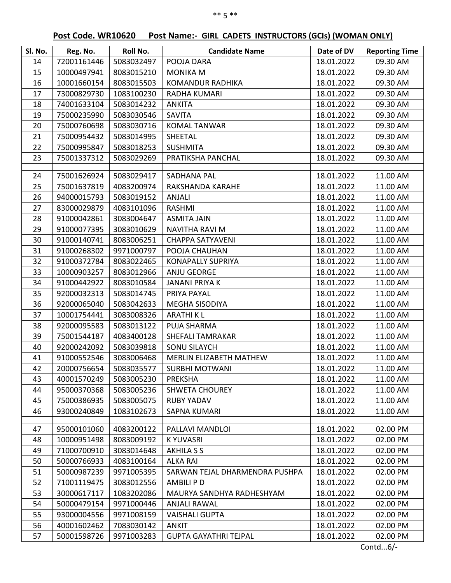| Sl. No. | Reg. No.    | Roll No.   | <b>Candidate Name</b>          | Date of DV | <b>Reporting Time</b> |
|---------|-------------|------------|--------------------------------|------------|-----------------------|
| 14      | 72001161446 | 5083032497 | POOJA DARA                     | 18.01.2022 | 09.30 AM              |
| 15      | 10000497941 | 8083015210 | <b>MONIKA M</b>                | 18.01.2022 | 09.30 AM              |
| 16      | 10001660154 | 8083015503 | <b>KOMANDUR RADHIKA</b>        | 18.01.2022 | 09.30 AM              |
| 17      | 73000829730 | 1083100230 | <b>RADHA KUMARI</b>            | 18.01.2022 | 09.30 AM              |
| 18      | 74001633104 | 5083014232 | <b>ANKITA</b>                  | 18.01.2022 | 09.30 AM              |
| 19      | 75000235990 | 5083030546 | <b>SAVITA</b>                  | 18.01.2022 | 09.30 AM              |
| 20      | 75000760698 | 5083030716 | <b>KOMAL TANWAR</b>            | 18.01.2022 | 09.30 AM              |
| 21      | 75000954432 | 5083014995 | SHEETAL                        | 18.01.2022 | 09.30 AM              |
| 22      | 75000995847 | 5083018253 | <b>SUSHMITA</b>                | 18.01.2022 | 09.30 AM              |
| 23      | 75001337312 | 5083029269 | PRATIKSHA PANCHAL              | 18.01.2022 | 09.30 AM              |
|         |             |            |                                |            |                       |
| 24      | 75001626924 | 5083029417 | <b>SADHANA PAL</b>             | 18.01.2022 | 11.00 AM              |
| 25      | 75001637819 | 4083200974 | RAKSHANDA KARAHE               | 18.01.2022 | 11.00 AM              |
| 26      | 94000015793 | 5083019152 | <b>ANJALI</b>                  | 18.01.2022 | 11.00 AM              |
| 27      | 83000029879 | 4083101096 | RASHMI                         | 18.01.2022 | 11.00 AM              |
| 28      | 91000042861 | 3083004647 | <b>ASMITA JAIN</b>             | 18.01.2022 | 11.00 AM              |
| 29      | 91000077395 | 3083010629 | <b>NAVITHA RAVI M</b>          | 18.01.2022 | 11.00 AM              |
| 30      | 91000140741 | 8083006251 | <b>CHAPPA SATYAVENI</b>        | 18.01.2022 | 11.00 AM              |
| 31      | 91000268302 | 9971000797 | POOJA CHAUHAN                  | 18.01.2022 | 11.00 AM              |
| 32      | 91000372784 | 8083022465 | <b>KONAPALLY SUPRIYA</b>       | 18.01.2022 | 11.00 AM              |
| 33      | 10000903257 | 8083012966 | ANJU GEORGE                    | 18.01.2022 | 11.00 AM              |
| 34      | 91000442922 | 8083010584 | <b>JANANI PRIYA K</b>          | 18.01.2022 | 11.00 AM              |
| 35      | 92000032313 | 5083014745 | PRIYA PAYAL                    | 18.01.2022 | 11.00 AM              |
| 36      | 92000065040 | 5083042633 | MEGHA SISODIYA                 | 18.01.2022 | 11.00 AM              |
| 37      | 10001754441 | 3083008326 | <b>ARATHIKL</b>                | 18.01.2022 | 11.00 AM              |
| 38      | 92000095583 | 5083013122 | PUJA SHARMA                    | 18.01.2022 | 11.00 AM              |
| 39      | 75001544187 | 4083400128 | <b>SHEFALI TAMRAKAR</b>        | 18.01.2022 | 11.00 AM              |
| 40      | 92000242092 | 5083039818 | SONU SILAYCH                   | 18.01.2022 | 11.00 AM              |
| 41      | 91000552546 | 3083006468 | MERLIN ELIZABETH MATHEW        | 18.01.2022 | 11.00 AM              |
| 42      | 20000756654 | 5083035577 | <b>SURBHI MOTWANI</b>          | 18.01.2022 | 11.00 AM              |
| 43      | 40001570249 | 5083005230 | PREKSHA                        | 18.01.2022 | 11.00 AM              |
| 44      | 95000370368 | 5083005236 | <b>SHWETA CHOUREY</b>          | 18.01.2022 | 11.00 AM              |
| 45      | 75000386935 | 5083005075 | <b>RUBY YADAV</b>              | 18.01.2022 | 11.00 AM              |
| 46      | 93000240849 | 1083102673 | SAPNA KUMARI                   | 18.01.2022 | 11.00 AM              |
|         |             |            |                                |            |                       |
| 47      | 95000101060 | 4083200122 | PALLAVI MANDLOI                | 18.01.2022 | 02.00 PM              |
| 48      | 10000951498 | 8083009192 | <b>KYUVASRI</b>                | 18.01.2022 | 02.00 PM              |
| 49      | 71000700910 | 3083014648 | <b>AKHILA S S</b>              | 18.01.2022 | 02.00 PM              |
| 50      | 50000766933 | 4083100164 | <b>ALKA RAI</b>                | 18.01.2022 | 02.00 PM              |
| 51      | 50000987239 | 9971005395 | SARWAN TEJAL DHARMENDRA PUSHPA | 18.01.2022 | 02.00 PM              |
| 52      | 71001119475 | 3083012556 | AMBILI P D                     | 18.01.2022 | 02.00 PM              |
| 53      | 30000617117 | 1083202086 | MAURYA SANDHYA RADHESHYAM      | 18.01.2022 | 02.00 PM              |
| 54      | 50000479154 | 9971000446 | <b>ANJALI RAWAL</b>            | 18.01.2022 | 02.00 PM              |
| 55      | 93000004556 | 9971008159 | <b>VAISHALI GUPTA</b>          | 18.01.2022 | 02.00 PM              |
| 56      | 40001602462 | 7083030142 | <b>ANKIT</b>                   | 18.01.2022 | 02.00 PM              |
| 57      | 50001598726 | 9971003283 | <b>GUPTA GAYATHRI TEJPAL</b>   | 18.01.2022 | 02.00 PM              |

# **Post Code. WR10620 Post Name:- GIRL CADETS INSTRUCTORS (GCIs) (WOMAN ONLY)**

Contd...6/-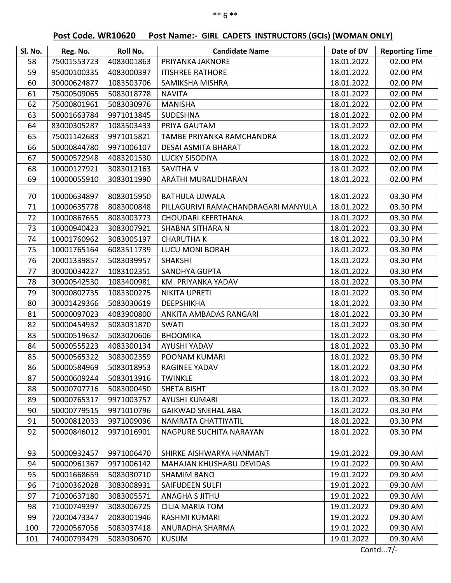# **Post Code. WR10620 Post Name:- GIRL CADETS INSTRUCTORS (GCIs) (WOMAN ONLY)**

| Reg. No.<br>58<br>75001553723<br>4083001863<br>PRIYANKA JAKNORE<br>18.01.2022<br>59<br>95000100335<br>4083000397<br><b>ITISHREE RATHORE</b><br>18.01.2022 | <b>Reporting Time</b><br>02.00 PM<br>02.00 PM<br>02.00 PM |
|-----------------------------------------------------------------------------------------------------------------------------------------------------------|-----------------------------------------------------------|
|                                                                                                                                                           |                                                           |
|                                                                                                                                                           |                                                           |
| 18.01.2022<br>60<br>30000624877<br>1083503706<br>SAMIKSHA MISHRA                                                                                          |                                                           |
| 61<br>75000509065<br>5083018778<br>18.01.2022<br><b>NAVITA</b>                                                                                            | 02.00 PM                                                  |
| 62<br>75000801961<br>5083030976<br><b>MANISHA</b><br>18.01.2022                                                                                           | 02.00 PM                                                  |
| 63<br>50001663784<br>9971013845<br>SUDESHNA<br>18.01.2022                                                                                                 | 02.00 PM                                                  |
| 64<br>83000305287<br>1083503433<br>18.01.2022<br>PRIYA GAUTAM                                                                                             | 02.00 PM                                                  |
| 75001142683<br>65<br>9971015821<br>TAMBE PRIYANKA RAMCHANDRA<br>18.01.2022                                                                                | 02.00 PM                                                  |
| 66<br>50000844780<br>9971006107<br>DESAI ASMITA BHARAT<br>18.01.2022                                                                                      | 02.00 PM                                                  |
| 67<br>50000572948<br>4083201530<br><b>LUCKY SISODIYA</b><br>18.01.2022                                                                                    | 02.00 PM                                                  |
| 68<br>10000127921<br>3083012163<br><b>SAVITHA V</b><br>18.01.2022                                                                                         | 02.00 PM                                                  |
| 69<br>10000055910<br>3083011990<br>ARATHI MURALIDHARAN<br>18.01.2022                                                                                      | 02.00 PM                                                  |
| 70<br>10000634897<br>8083015950<br><b>BATHULA UJWALA</b><br>18.01.2022                                                                                    | 03.30 PM                                                  |
| 71<br>18.01.2022<br>8083000848<br>PILLAGURIVI RAMACHANDRAGARI MANYULA                                                                                     | 03.30 PM                                                  |
| 10000635778<br>72<br>10000867655<br>8083003773<br>18.01.2022<br><b>CHOUDARI KEERTHANA</b>                                                                 | 03.30 PM                                                  |
| 73<br>10000940423<br>3083007921<br>SHABNA SITHARA N                                                                                                       | 03.30 PM                                                  |
| 18.01.2022<br>74<br>10001760962<br><b>CHARUTHAK</b><br>3083005197<br>18.01.2022                                                                           | 03.30 PM                                                  |
| 75<br>10001765164<br>18.01.2022<br>6083511739<br>LUCU MONI BORAH                                                                                          | 03.30 PM                                                  |
| 76<br>20001339857<br>5083039957<br>18.01.2022<br><b>SHAKSHI</b>                                                                                           | 03.30 PM                                                  |
| SANDHYA GUPTA<br>77<br>30000034227<br>1083102351<br>18.01.2022                                                                                            | 03.30 PM                                                  |
| 78<br>30000542530<br>1083400981<br>KM. PRIYANKA YADAV<br>18.01.2022                                                                                       | 03.30 PM                                                  |
| 79<br>30000802735<br>1083300275<br><b>NIKITA UPRETI</b><br>18.01.2022                                                                                     | 03.30 PM                                                  |
| 80<br>30001429366<br>5083030619<br><b>DEEPSHIKHA</b><br>18.01.2022                                                                                        | 03.30 PM                                                  |
| 81<br>50000097023<br>4083900800<br>ANKITA AMBADAS RANGARI<br>18.01.2022                                                                                   | 03.30 PM                                                  |
| 82<br>18.01.2022<br>50000454932<br>5083031870<br><b>SWATI</b>                                                                                             | 03.30 PM                                                  |
| 83<br>50000519632<br>5083020606<br><b>BHOOMIKA</b><br>18.01.2022                                                                                          | 03.30 PM                                                  |
| 84<br>50000555223<br>4083300134<br>AYUSHI YADAV<br>18.01.2022                                                                                             | 03.30 PM                                                  |
| 85<br>50000565322<br>3083002359<br>18.01.2022<br>POONAM KUMARI                                                                                            | 03.30 PM                                                  |
| 86<br>50000584969<br>5083018953<br>RAGINEE YADAV<br>18.01.2022                                                                                            | 03.30 PM                                                  |
| 50000609244<br>87<br>5083013916<br>18.01.2022<br><b>TWINKLE</b>                                                                                           | 03.30 PM                                                  |
| 88<br>50000707716<br>5083000450<br><b>SHETA BISHT</b><br>18.01.2022                                                                                       | 03.30 PM                                                  |
| 18.01.2022<br>89<br>50000765317<br>9971003757<br><b>AYUSHI KUMARI</b>                                                                                     | 03.30 PM                                                  |
| 50000779515<br>9971010796<br>18.01.2022<br>90<br><b>GAIKWAD SNEHAL ABA</b>                                                                                | 03.30 PM                                                  |
| 50000812033<br>9971009096<br>18.01.2022<br>91<br>NAMRATA CHATTIYATIL                                                                                      | 03.30 PM                                                  |
| 92<br>50000846012<br>18.01.2022<br>9971016901<br>NAGPURE SUCHITA NARAYAN                                                                                  | 03.30 PM                                                  |
|                                                                                                                                                           |                                                           |
| 93<br>50000932457<br>9971006470<br>19.01.2022<br>SHIRKE AISHWARYA HANMANT                                                                                 | 09.30 AM                                                  |
| 94<br>50000961367<br>9971006142<br>19.01.2022<br><b>MAHAJAN KHUSHABU DEVIDAS</b>                                                                          | 09.30 AM                                                  |
| 50001668659<br>5083030710<br><b>SHAMIM BANO</b><br>19.01.2022<br>95                                                                                       | 09.30 AM                                                  |
| 96<br>71000362028<br>3083008931<br><b>SAIFUDEEN SULFI</b><br>19.01.2022                                                                                   | 09.30 AM                                                  |
| 97<br>19.01.2022<br>71000637180<br>3083005571<br>ANAGHA S JITHU                                                                                           | 09.30 AM                                                  |
| 98<br>71000749397<br>3083006725<br>19.01.2022<br><b>CILIA MARIA TOM</b>                                                                                   | 09.30 AM                                                  |
| 99<br>72000473347<br>2083001946<br>RASHMI KUMARI<br>19.01.2022                                                                                            | 09.30 AM                                                  |
| 100<br>72000567056<br>19.01.2022<br>5083037418<br>ANURADHA SHARMA                                                                                         | 09.30 AM                                                  |
| 74000793479<br>5083030670<br>19.01.2022<br>101<br><b>KUSUM</b>                                                                                            | 09.30 AM                                                  |

Contd...7/-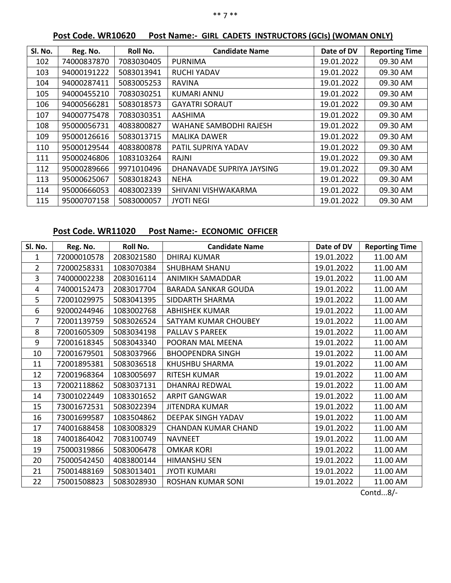| Sl. No. | Reg. No.    | Roll No.   | <b>Candidate Name</b>     | Date of DV | <b>Reporting Time</b> |
|---------|-------------|------------|---------------------------|------------|-----------------------|
| 102     | 74000837870 | 7083030405 | <b>PURNIMA</b>            | 19.01.2022 | 09.30 AM              |
| 103     | 94000191222 | 5083013941 | <b>RUCHI YADAV</b>        | 19.01.2022 | 09.30 AM              |
| 104     | 94000287411 | 5083005253 | <b>RAVINA</b>             | 19.01.2022 | 09.30 AM              |
| 105     | 94000455210 | 7083030251 | KUMARI ANNU               | 19.01.2022 | 09.30 AM              |
| 106     | 94000566281 | 5083018573 | <b>GAYATRI SORAUT</b>     | 19.01.2022 | 09.30 AM              |
| 107     | 94000775478 | 7083030351 | AASHIMA                   | 19.01.2022 | 09.30 AM              |
| 108     | 95000056731 | 4083800827 | WAHANE SAMBODHI RAJESH    | 19.01.2022 | 09.30 AM              |
| 109     | 95000126616 | 5083013715 | <b>MALIKA DAWER</b>       | 19.01.2022 | 09.30 AM              |
| 110     | 95000129544 | 4083800878 | PATIL SUPRIYA YADAV       | 19.01.2022 | 09.30 AM              |
| 111     | 95000246806 | 1083103264 | RAJNI                     | 19.01.2022 | 09.30 AM              |
| 112     | 95000289666 | 9971010496 | DHANAVADE SUPRIYA JAYSING | 19.01.2022 | 09.30 AM              |
| 113     | 95000625067 | 5083018243 | <b>NEHA</b>               | 19.01.2022 | 09.30 AM              |
| 114     | 95000666053 | 4083002339 | SHIVANI VISHWAKARMA       | 19.01.2022 | 09.30 AM              |
| 115     | 95000707158 | 5083000057 | <b>JYOTI NEGI</b>         | 19.01.2022 | 09.30 AM              |

# **Post Code. WR10620 Post Name:- GIRL CADETS INSTRUCTORS (GCIs) (WOMAN ONLY)**

# **Post Code. WR11020 Post Name:- ECONOMIC OFFICER**

| Sl. No.        | Reg. No.    | Roll No.   | <b>Candidate Name</b>      | Date of DV | <b>Reporting Time</b> |
|----------------|-------------|------------|----------------------------|------------|-----------------------|
| 1              | 72000010578 | 2083021580 | <b>DHIRAJ KUMAR</b>        | 19.01.2022 | 11.00 AM              |
| $\overline{2}$ | 72000258331 | 1083070384 | <b>SHUBHAM SHANU</b>       | 19.01.2022 | 11.00 AM              |
| 3              | 74000002238 | 2083016114 | ANIMIKH SAMADDAR           | 19.01.2022 | 11.00 AM              |
| 4              | 74000152473 | 2083017704 | <b>BARADA SANKAR GOUDA</b> | 19.01.2022 | 11.00 AM              |
| 5              | 72001029975 | 5083041395 | SIDDARTH SHARMA            | 19.01.2022 | 11.00 AM              |
| 6              | 92000244946 | 1083002768 | <b>ABHISHEK KUMAR</b>      | 19.01.2022 | 11.00 AM              |
| $\overline{7}$ | 72001139759 | 5083026524 | SATYAM KUMAR CHOUBEY       | 19.01.2022 | 11.00 AM              |
| 8              | 72001605309 | 5083034198 | PALLAV S PAREEK            | 19.01.2022 | 11.00 AM              |
| 9              | 72001618345 | 5083043340 | POORAN MAL MEENA           | 19.01.2022 | 11.00 AM              |
| 10             | 72001679501 | 5083037966 | <b>BHOOPENDRA SINGH</b>    | 19.01.2022 | 11.00 AM              |
| 11             | 72001895381 | 5083036518 | KHUSHBU SHARMA             | 19.01.2022 | 11.00 AM              |
| 12             | 72001968364 | 1083005697 | RITESH KUMAR               | 19.01.2022 | 11.00 AM              |
| 13             | 72002118862 | 5083037131 | DHANRAJ REDWAL             | 19.01.2022 | 11.00 AM              |
| 14             | 73001022449 | 1083301652 | <b>ARPIT GANGWAR</b>       | 19.01.2022 | 11.00 AM              |
| 15             | 73001672531 | 5083022394 | <b>JITENDRA KUMAR</b>      | 19.01.2022 | 11.00 AM              |
| 16             | 73001699587 | 1083504862 | <b>DEEPAK SINGH YADAV</b>  | 19.01.2022 | 11.00 AM              |
| 17             | 74001688458 | 1083008329 | <b>CHANDAN KUMAR CHAND</b> | 19.01.2022 | 11.00 AM              |
| 18             | 74001864042 | 7083100749 | <b>NAVNEET</b>             | 19.01.2022 | 11.00 AM              |
| 19             | 75000319866 | 5083006478 | <b>OMKAR KORI</b>          | 19.01.2022 | 11.00 AM              |
| 20             | 75000542450 | 4083800144 | <b>HIMANSHU SEN</b>        | 19.01.2022 | 11.00 AM              |
| 21             | 75001488169 | 5083013401 | <b>JYOTI KUMARI</b>        | 19.01.2022 | 11.00 AM              |
| 22             | 75001508823 | 5083028930 | <b>ROSHAN KUMAR SONI</b>   | 19.01.2022 | 11.00 AM              |
|                |             |            |                            |            | Contd $8/-$           |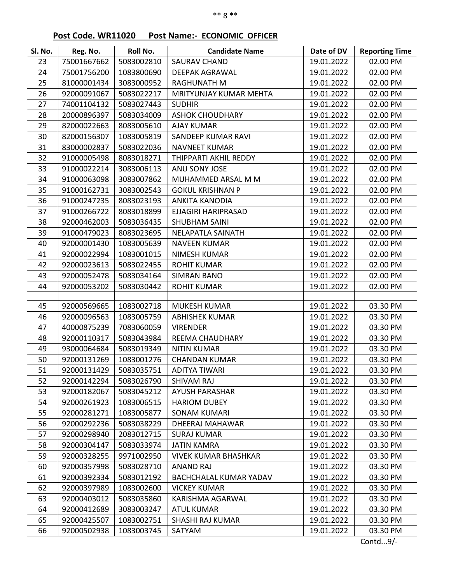# **Post Code. WR11020 Post Name:- ECONOMIC OFFICER**

| Sl. No. | Reg. No.    | Roll No.   | <b>Candidate Name</b>         | Date of DV | <b>Reporting Time</b> |
|---------|-------------|------------|-------------------------------|------------|-----------------------|
| 23      | 75001667662 | 5083002810 | <b>SAURAV CHAND</b>           | 19.01.2022 | 02.00 PM              |
| 24      | 75001756200 | 1083800690 | <b>DEEPAK AGRAWAL</b>         | 19.01.2022 | 02.00 PM              |
| 25      | 81000001434 | 3083000952 | RAGHUNATH M                   | 19.01.2022 | 02.00 PM              |
| 26      | 92000091067 | 5083022217 | MRITYUNJAY KUMAR MEHTA        | 19.01.2022 | 02.00 PM              |
| 27      | 74001104132 | 5083027443 | <b>SUDHIR</b>                 | 19.01.2022 | 02.00 PM              |
| 28      | 20000896397 | 5083034009 | <b>ASHOK CHOUDHARY</b>        | 19.01.2022 | 02.00 PM              |
| 29      | 82000022663 | 8083005610 | <b>AJAY KUMAR</b>             | 19.01.2022 | 02.00 PM              |
| 30      | 82000156307 | 1083005819 | SANDEEP KUMAR RAVI            | 19.01.2022 | 02.00 PM              |
| 31      | 83000002837 | 5083022036 | <b>NAVNEET KUMAR</b>          | 19.01.2022 | 02.00 PM              |
| 32      | 91000005498 | 8083018271 | THIPPARTI AKHIL REDDY         | 19.01.2022 | 02.00 PM              |
| 33      | 91000022214 | 3083006113 | ANU SONY JOSE                 | 19.01.2022 | 02.00 PM              |
| 34      | 91000063098 | 3083007862 | MUHAMMED ARSAL M M            | 19.01.2022 | 02.00 PM              |
| 35      | 91000162731 | 3083002543 | <b>GOKUL KRISHNAN P</b>       | 19.01.2022 | 02.00 PM              |
| 36      | 91000247235 | 8083023193 | <b>ANKITA KANODIA</b>         | 19.01.2022 | 02.00 PM              |
| 37      | 91000266722 | 8083018899 | EJJAGIRI HARIPRASAD           | 19.01.2022 | 02.00 PM              |
| 38      | 92000462003 | 5083036435 | <b>SHUBHAM SAINI</b>          | 19.01.2022 | 02.00 PM              |
| 39      | 91000479023 | 8083023695 | <b>NELAPATLA SAINATH</b>      | 19.01.2022 | 02.00 PM              |
| 40      | 92000001430 | 1083005639 | <b>NAVEEN KUMAR</b>           | 19.01.2022 | 02.00 PM              |
| 41      | 92000022994 | 1083001015 | NIMESH KUMAR                  | 19.01.2022 | 02.00 PM              |
| 42      | 92000023613 | 5083022455 | <b>ROHIT KUMAR</b>            | 19.01.2022 | 02.00 PM              |
| 43      | 92000052478 | 5083034164 | <b>SIMRAN BANO</b>            | 19.01.2022 | 02.00 PM              |
| 44      | 92000053202 | 5083030442 | <b>ROHIT KUMAR</b>            | 19.01.2022 | 02.00 PM              |
|         |             |            |                               |            |                       |
| 45      | 92000569665 | 1083002718 | <b>MUKESH KUMAR</b>           | 19.01.2022 | 03.30 PM              |
| 46      | 92000096563 | 1083005759 | <b>ABHISHEK KUMAR</b>         | 19.01.2022 | 03.30 PM              |
| 47      | 40000875239 | 7083060059 | <b>VIRENDER</b>               | 19.01.2022 | 03.30 PM              |
| 48      | 92000110317 | 5083043984 | REEMA CHAUDHARY               | 19.01.2022 | 03.30 PM              |
| 49      | 93000064684 | 5083019349 | <b>NITIN KUMAR</b>            | 19.01.2022 | 03.30 PM              |
| 50      | 92000131269 | 1083001276 | <b>CHANDAN KUMAR</b>          | 19.01.2022 | 03.30 PM              |
| 51      | 92000131429 | 5083035751 | <b>ADITYA TIWARI</b>          | 19.01.2022 | 03.30 PM              |
| 52      | 92000142294 | 5083026790 | SHIVAM RAJ                    | 19.01.2022 | 03.30 PM              |
| 53      | 92000182067 | 5083045212 | <b>AYUSH PARASHAR</b>         | 19.01.2022 | 03.30 PM              |
| 54      | 92000261923 | 1083006515 | <b>HARIOM DUBEY</b>           | 19.01.2022 | 03.30 PM              |
| 55      | 92000281271 | 1083005877 | <b>SONAM KUMARI</b>           | 19.01.2022 | 03.30 PM              |
| 56      | 92000292236 | 5083038229 | <b>DHEERAJ MAHAWAR</b>        | 19.01.2022 | 03.30 PM              |
| 57      | 92000298940 | 2083012715 | <b>SURAJ KUMAR</b>            | 19.01.2022 | 03.30 PM              |
| 58      | 92000304147 | 5083033974 | <b>JATIN KAMRA</b>            | 19.01.2022 | 03.30 PM              |
| 59      | 92000328255 | 9971002950 | <b>VIVEK KUMAR BHASHKAR</b>   | 19.01.2022 | 03.30 PM              |
| 60      | 92000357998 | 5083028710 | <b>ANAND RAJ</b>              | 19.01.2022 | 03.30 PM              |
| 61      | 92000392334 | 5083012192 | <b>BACHCHALAL KUMAR YADAV</b> | 19.01.2022 | 03.30 PM              |
| 62      | 92000397989 | 1083002600 | <b>VICKEY KUMAR</b>           | 19.01.2022 | 03.30 PM              |
| 63      | 92000403012 | 5083035860 | KARISHMA AGARWAL              | 19.01.2022 | 03.30 PM              |
| 64      | 92000412689 | 3083003247 | <b>ATUL KUMAR</b>             | 19.01.2022 | 03.30 PM              |
| 65      | 92000425507 | 1083002751 | SHASHI RAJ KUMAR              | 19.01.2022 | 03.30 PM              |
| 66      | 92000502938 | 1083003745 | SATYAM                        | 19.01.2022 | 03.30 PM              |

Contd...9/-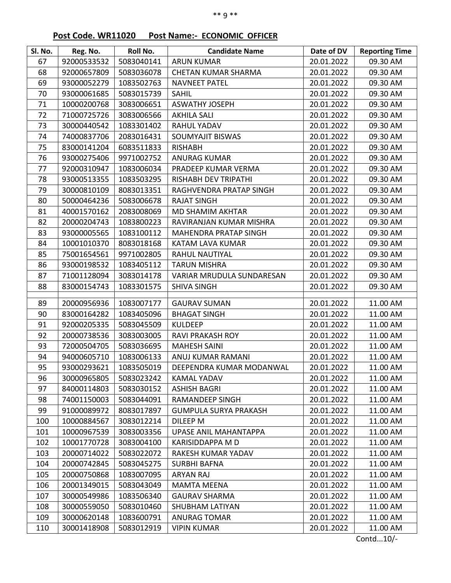# **Post Code. WR11020 Post Name:- ECONOMIC OFFICER**

| Sl. No.  | Reg. No.    | Roll No.   | <b>Candidate Name</b>        | Date of DV               | <b>Reporting Time</b> |
|----------|-------------|------------|------------------------------|--------------------------|-----------------------|
| 67       | 92000533532 | 5083040141 | <b>ARUN KUMAR</b>            | 20.01.2022               | 09.30 AM              |
| 68       | 92000657809 | 5083036078 | <b>CHETAN KUMAR SHARMA</b>   | 20.01.2022               | 09.30 AM              |
| 69       | 93000052279 | 1083502763 | <b>NAVNEET PATEL</b>         | 20.01.2022               | 09.30 AM              |
| 70       | 93000061685 | 5083015739 | <b>SAHIL</b>                 | 20.01.2022               | 09.30 AM              |
| 71       | 10000200768 | 3083006651 | <b>ASWATHY JOSEPH</b>        | 20.01.2022               | 09.30 AM              |
| 72       | 71000725726 | 3083006566 | <b>AKHILA SALI</b>           | 20.01.2022               | 09.30 AM              |
| 73       | 30000440542 | 1083301402 | <b>RAHUL YADAV</b>           | 20.01.2022               | 09.30 AM              |
| 74       | 74000837706 | 2083016431 | <b>SOUMYAJIT BISWAS</b>      | 20.01.2022               | 09.30 AM              |
| 75       | 83000141204 | 6083511833 | <b>RISHABH</b>               | 20.01.2022               | 09.30 AM              |
| 76       | 93000275406 | 9971002752 | <b>ANURAG KUMAR</b>          | 20.01.2022               | 09.30 AM              |
| 77       | 92000310947 | 1083006034 | PRADEEP KUMAR VERMA          | 20.01.2022               | 09.30 AM              |
| 78       | 93000513355 | 1083503295 | RISHABH DEV TRIPATHI         | 20.01.2022               | 09.30 AM              |
| 79       | 30000810109 | 8083013351 | RAGHVENDRA PRATAP SINGH      | 20.01.2022               | 09.30 AM              |
| 80       | 50000464236 | 5083006678 | <b>RAJAT SINGH</b>           | 20.01.2022               | 09.30 AM              |
| 81       | 40001570162 | 2083008069 | MD SHAMIM AKHTAR             | 20.01.2022               | 09.30 AM              |
| 82       | 20000204743 | 1083800223 | RAVIRANJAN KUMAR MISHRA      | 20.01.2022               | 09.30 AM              |
| 83       | 93000005565 | 1083100112 | <b>MAHENDRA PRATAP SINGH</b> | 20.01.2022               | 09.30 AM              |
| 84       | 10001010370 | 8083018168 | KATAM LAVA KUMAR             | 20.01.2022               | 09.30 AM              |
| 85       | 75001654561 | 9971002805 | RAHUL NAUTIYAL               | 20.01.2022               | 09.30 AM              |
| 86       | 93000198532 | 1083405112 | <b>TARUN MISHRA</b>          | 20.01.2022               | 09.30 AM              |
| 87       | 71001128094 | 3083014178 | VARIAR MRUDULA SUNDARESAN    | 20.01.2022               | 09.30 AM              |
| 88       | 83000154743 | 1083301575 | <b>SHIVA SINGH</b>           | 20.01.2022               | 09.30 AM              |
| 89       | 20000956936 | 1083007177 | <b>GAURAV SUMAN</b>          | 20.01.2022               | 11.00 AM              |
| 90       | 83000164282 | 1083405096 | <b>BHAGAT SINGH</b>          | 20.01.2022               | 11.00 AM              |
| 91       | 92000205335 | 5083045509 | <b>KULDEEP</b>               | 20.01.2022               | 11.00 AM              |
| 92       | 20000738536 | 3083003005 | <b>RAVI PRAKASH ROY</b>      | 20.01.2022               | 11.00 AM              |
| 93       | 72000504705 | 5083036695 | <b>MAHESH SAINI</b>          | 20.01.2022               | 11.00 AM              |
| 94       | 94000605710 | 1083006133 | ANUJ KUMAR RAMANI            | 20.01.2022               | 11.00 AM              |
| 95       | 93000293621 | 1083505019 | DEEPENDRA KUMAR MODANWAL     | 20.01.2022               | 11.00 AM              |
| 96       | 30000965805 | 5083023242 | <b>KAMAL YADAV</b>           |                          |                       |
| 97       | 84000114803 | 5083030152 | <b>ASHISH BAGRI</b>          | 20.01.2022<br>20.01.2022 | 11.00 AM              |
|          | 74001150003 |            |                              |                          | 11.00 AM              |
| 98<br>99 |             | 5083044091 | RAMANDEEP SINGH              | 20.01.2022               | 11.00 AM              |
|          | 91000089972 | 8083017897 | <b>GUMPULA SURYA PRAKASH</b> | 20.01.2022               | 11.00 AM              |
| 100      | 10000884567 | 3083012214 | DILEEP M                     | 20.01.2022               | 11.00 AM              |
| 101      | 10000967539 | 3083003356 | UPASE ANIL MAHANTAPPA        | 20.01.2022               | 11.00 AM              |
| 102      | 10001770728 | 3083004100 | KARISIDDAPPA M D             | 20.01.2022               | 11.00 AM              |
| 103      | 20000714022 | 5083022072 | RAKESH KUMAR YADAV           | 20.01.2022               | 11.00 AM              |
| 104      | 20000742845 | 5083045275 | <b>SURBHI BAFNA</b>          | 20.01.2022               | 11.00 AM              |
| 105      | 20000750868 | 1083007095 | <b>ARYAN RAJ</b>             | 20.01.2022               | 11.00 AM              |
| 106      | 20001349015 | 5083043049 | <b>MAMTA MEENA</b>           | 20.01.2022               | 11.00 AM              |
| 107      | 30000549986 | 1083506340 | <b>GAURAV SHARMA</b>         | 20.01.2022               | 11.00 AM              |
| 108      | 30000559050 | 5083010460 | SHUBHAM LATIYAN              | 20.01.2022               | 11.00 AM              |
| 109      | 30000620148 | 1083600791 | <b>ANURAG TOMAR</b>          | 20.01.2022               | 11.00 AM              |
| 110      | 30001418908 | 5083012919 | <b>VIPIN KUMAR</b>           | 20.01.2022               | 11.00 AM              |

Contd...10/-